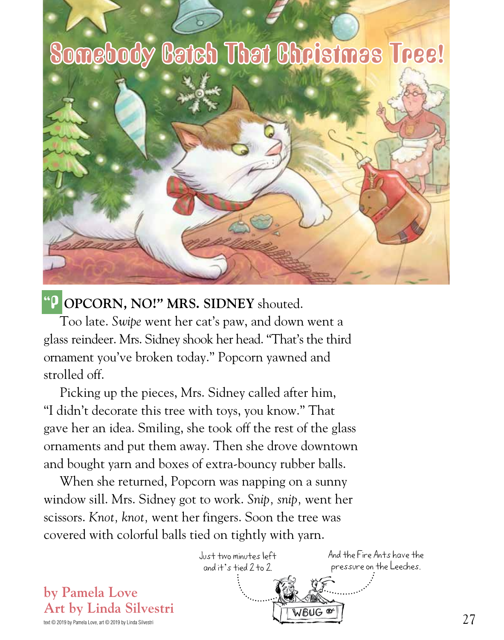## Somebody Batch That Bhristmas Tree!



## "POPCORN, NO!" MRS. SIDNEY shouted.

Too late. *Swipe* went her cat's paw, and down went a glass reindeer. Mrs. Sidney shook her head. "That's the third ornament you've broken today." Popcorn yawned and strolled off.

Picking up the pieces, Mrs. Sidney called after him, "I didn't decorate this tree with toys, you know." That gave her an idea. Smiling, she took off the rest of the glass ornaments and put them away. Then she drove downtown and bought yarn and boxes of extra-bouncy rubber balls.

When she returned, Popcorn was napping on a sunny window sill. Mrs. Sidney got to work. *Snip, snip,* went her scissors. *Knot, knot,* went her fingers. Soon the tree was covered with colorful balls tied on tightly with yarn.



text © 2019 by Pamela Love, art © 2019 by Linda Silvestri

**by Pamela Love**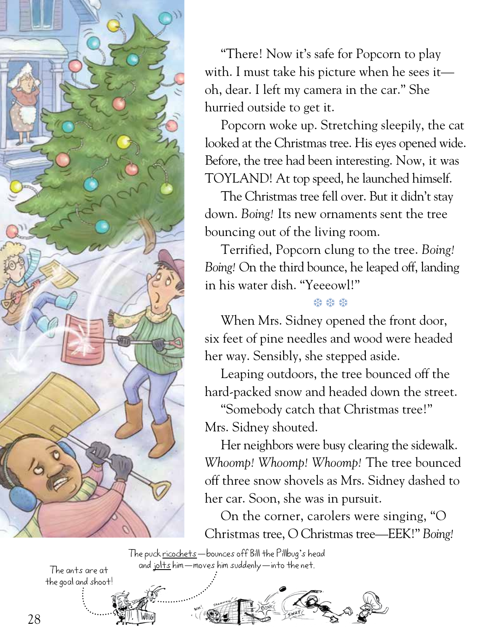

"There! Now it's safe for Popcorn to play with. I must take his picture when he sees it oh, dear. I left my camera in the car." She hurried outside to get it.

Popcorn woke up. Stretching sleepily, the cat looked at the Christmas tree. His eyes opened wide. Before, the tree had been interesting. Now, it was TOYLAND! At top speed, he launched himself.

The Christmas tree fell over. But it didn't stay down. *Boing!* Its new ornaments sent the tree bouncing out of the living room.

Terrified, Popcorn clung to the tree. *Boing! Boing!* On the third bounce, he leaped off, landing in his water dish. "Yeeeowl!"

## ❆ ❆ ❆

When Mrs. Sidney opened the front door, six feet of pine needles and wood were headed her way. Sensibly, she stepped aside.

Leaping outdoors, the tree bounced off the hard-packed snow and headed down the street.

"Somebody catch that Christmas tree!" Mrs. Sidney shouted.

Her neighbors were busy clearing the sidewalk. *Whoomp! Whoomp! Whoomp!* The tree bounced off three snow shovels as Mrs. Sidney dashed to her car. Soon, she was in pursuit.

On the corner, carolers were singing, "O Christmas tree, O Christmas tree—EEK!" *Boing!*

The puck ricochets—bounces off Bill the Pillbug's head The ants are at and jolts him—moves him suddenly—into the net.

the goal and shoot!

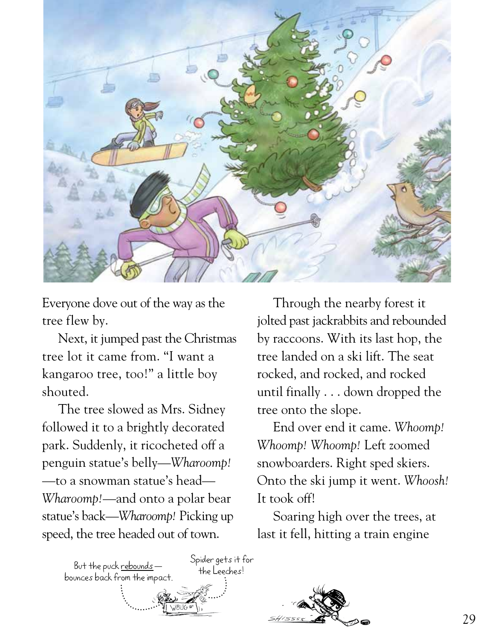

Everyone dove out of the way as the tree flew by.

Next, it jumped past the Christmas tree lot it came from. "I want a kangaroo tree, too!" a little boy shouted.

The tree slowed as Mrs. Sidney followed it to a brightly decorated park. Suddenly, it ricocheted off a penguin statue's belly—*Wharoomp!* —to a snowman statue's head— *Wharoomp!*—and onto a polar bear statue's back—*Wharoomp!* Picking up speed, the tree headed out of town.

Through the nearby forest it jolted past jackrabbits and rebounded by raccoons. With its last hop, the tree landed on a ski lift. The seat rocked, and rocked, and rocked until finally . . . down dropped the tree onto the slope.

End over end it came. *Whoomp! Whoomp! Whoomp!* Left zoomed snowboarders. Right sped skiers. Onto the ski jump it went. *Whoosh!* It took off!

Soaring high over the trees, at last it fell, hitting a train engine

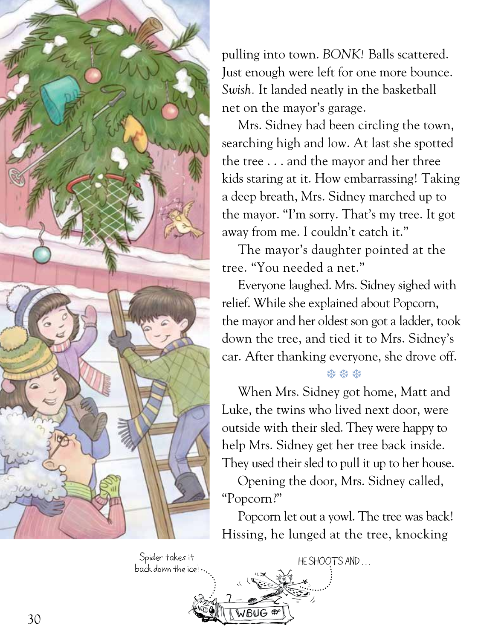

back down the ice!

pulling into town. *BONK!* Balls scattered. Just enough were left for one more bounce. *Swish.* It landed neatly in the basketball net on the mayor's garage.

Mrs. Sidney had been circling the town, searching high and low. At last she spotted the tree . . . and the mayor and her three kids staring at it. How embarrassing! Taking a deep breath, Mrs. Sidney marched up to the mayor. "I'm sorry. That's my tree. It got away from me. I couldn't catch it."

The mayor's daughter pointed at the tree. "You needed a net."

Everyone laughed. Mrs. Sidney sighed with relief. While she explained about Popcorn, the mayor and her oldest son got a ladder, took down the tree, and tied it to Mrs. Sidney's car. After thanking everyone, she drove off.

## ❆ ❆ ❆

When Mrs. Sidney got home, Matt and Luke, the twins who lived next door, were outside with their sled. They were happy to help Mrs. Sidney get her tree back inside. They used their sled to pull it up to her house.

Opening the door, Mrs. Sidney called, "Popcorn?"

Popcorn let out a yowl. The tree was back! Hissing, he lunged at the tree, knocking